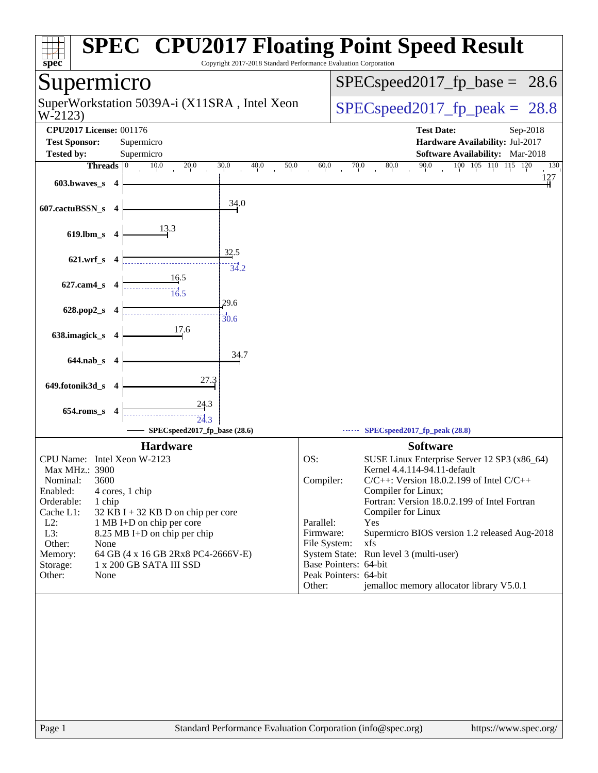| Copyright 2017-2018 Standard Performance Evaluation Corporation<br>$spec^*$                                                                                                                                                                                                                                                                                                                                | <b>SPEC<sup>®</sup> CPU2017 Floating Point Speed Result</b>                                                                                                                                                                                                                                                                                                                                                                                                                                                                  |
|------------------------------------------------------------------------------------------------------------------------------------------------------------------------------------------------------------------------------------------------------------------------------------------------------------------------------------------------------------------------------------------------------------|------------------------------------------------------------------------------------------------------------------------------------------------------------------------------------------------------------------------------------------------------------------------------------------------------------------------------------------------------------------------------------------------------------------------------------------------------------------------------------------------------------------------------|
| Supermicro                                                                                                                                                                                                                                                                                                                                                                                                 | $SPEC speed2017_fp\_base =$<br>28.6                                                                                                                                                                                                                                                                                                                                                                                                                                                                                          |
| SuperWorkstation 5039A-i (X11SRA, Intel Xeon<br>W-2123)                                                                                                                                                                                                                                                                                                                                                    | $SPEC speed2017_fp\_peak = 28.8$                                                                                                                                                                                                                                                                                                                                                                                                                                                                                             |
| <b>CPU2017 License: 001176</b><br><b>Test Sponsor:</b><br>Supermicro<br><b>Tested by:</b><br>Supermicro<br>Threads $ 0$<br>10.0<br>20.0<br>30.0<br>40.0<br>50.0<br>603.bwaves_s 4<br>34.0<br>607.cactuBSSN_s 4<br>13.3<br>$619$ .lbm_s<br>-4                                                                                                                                                               | <b>Test Date:</b><br>Sep-2018<br>Hardware Availability: Jul-2017<br><b>Software Availability:</b> Mar-2018<br>90.0<br>100 105 110 115 120<br>70.0<br>60.0<br>$80.0\,$<br>130<br>127                                                                                                                                                                                                                                                                                                                                          |
| 32.5<br>$621.wrf$ <sub>S</sub><br>4<br>34.2<br>16.5<br>627.cam4_s 4<br>$\frac{1}{16.5}$<br>29.6<br>628.pop2_s<br>4<br>30.6<br>17.6<br>638.imagick_s<br>34.7<br>644.nab_s 4<br>27.3<br>649.fotonik3d_s<br>- 4<br><u>24.3</u><br>654.roms_s<br>24.3<br>SPECspeed2017_fp_base (28.6)                                                                                                                          | SPECspeed2017_fp_peak (28.8)                                                                                                                                                                                                                                                                                                                                                                                                                                                                                                 |
| <b>Hardware</b><br>CPU Name: Intel Xeon W-2123<br>Max MHz.: 3900<br>3600<br>Nominal:<br>Enabled:<br>4 cores, 1 chip<br>Orderable:<br>1 chip<br>Cache L1:<br>$32$ KB I + 32 KB D on chip per core<br>$L2$ :<br>1 MB I+D on chip per core<br>L3:<br>8.25 MB I+D on chip per chip<br>Other:<br>None<br>Memory:<br>64 GB (4 x 16 GB 2Rx8 PC4-2666V-E)<br>Storage:<br>1 x 200 GB SATA III SSD<br>Other:<br>None | <b>Software</b><br>OS:<br>SUSE Linux Enterprise Server 12 SP3 (x86_64)<br>Kernel 4.4.114-94.11-default<br>Compiler:<br>$C/C++$ : Version 18.0.2.199 of Intel $C/C++$<br>Compiler for Linux;<br>Fortran: Version 18.0.2.199 of Intel Fortran<br>Compiler for Linux<br>Parallel:<br>Yes<br>Firmware:<br>Supermicro BIOS version 1.2 released Aug-2018<br>File System:<br>xfs<br>System State: Run level 3 (multi-user)<br>Base Pointers: 64-bit<br>Peak Pointers: 64-bit<br>jemalloc memory allocator library V5.0.1<br>Other: |
| Page 1<br>Standard Performance Evaluation Corporation (info@spec.org)                                                                                                                                                                                                                                                                                                                                      | https://www.spec.org/                                                                                                                                                                                                                                                                                                                                                                                                                                                                                                        |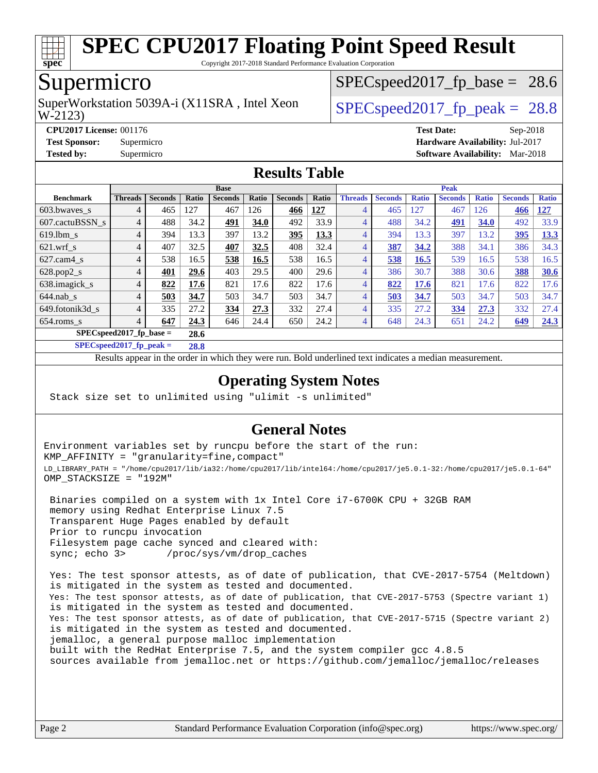

Copyright 2017-2018 Standard Performance Evaluation Corporation

## Supermicro

W-2123) SuperWorkstation 5039A-i (X11SRA, Intel Xeon  $\vert$  SPECspeed2017 fp\_peak = 28.8

 $SPECspeed2017<sub>fp</sub> base = 28.6$ 

**[CPU2017 License:](http://www.spec.org/auto/cpu2017/Docs/result-fields.html#CPU2017License)** 001176 **[Test Date:](http://www.spec.org/auto/cpu2017/Docs/result-fields.html#TestDate)** Sep-2018

**[Test Sponsor:](http://www.spec.org/auto/cpu2017/Docs/result-fields.html#TestSponsor)** Supermicro **[Hardware Availability:](http://www.spec.org/auto/cpu2017/Docs/result-fields.html#HardwareAvailability)** Jul-2017

**[Tested by:](http://www.spec.org/auto/cpu2017/Docs/result-fields.html#Testedby)** Supermicro **[Software Availability:](http://www.spec.org/auto/cpu2017/Docs/result-fields.html#SoftwareAvailability)** Mar-2018

### **[Results Table](http://www.spec.org/auto/cpu2017/Docs/result-fields.html#ResultsTable)**

|                                   | <b>Base</b>    |                |       |                |       |                | <b>Peak</b> |                |                |              |                |              |                |              |
|-----------------------------------|----------------|----------------|-------|----------------|-------|----------------|-------------|----------------|----------------|--------------|----------------|--------------|----------------|--------------|
| <b>Benchmark</b>                  | <b>Threads</b> | <b>Seconds</b> | Ratio | <b>Seconds</b> | Ratio | <b>Seconds</b> | Ratio       | <b>Threads</b> | <b>Seconds</b> | <b>Ratio</b> | <b>Seconds</b> | <b>Ratio</b> | <b>Seconds</b> | <b>Ratio</b> |
| 603.bwayes_s                      | 4              | 465            | 127   | 467            | 126   | 466            | 127         | $\overline{4}$ | 465            | 27           | 467            | 126          | 466            | <u>127</u>   |
| 607.cactuBSSN s                   | 4              | 488            | 34.2  | 491            | 34.0  | 492            | 33.9        | $\overline{4}$ | 488            | 34.2         | <u>491</u>     | 34.0         | 492            | 33.9         |
| $619.1$ bm s                      | $\overline{4}$ | 394            | 13.3  | 397            | 13.2  | 395            | 13.3        | 4              | 394            | 13.3         | 397            | 13.2         | 395            | 13.3         |
| $621.wrf$ s                       | 4              | 407            | 32.5  | 407            | 32.5  | 408            | 32.4        | $\overline{4}$ | 387            | 34.2         | 388            | 34.1         | 386            | 34.3         |
| $627$ .cam $4$ s                  | 4              | 538            | 16.5  | 538            | 16.5  | 538            | 16.5        | 4              | 538            | 16.5         | 539            | 16.5         | 538            | 16.5         |
| $628.pop2_s$                      | $\overline{4}$ | 401            | 29.6  | 403            | 29.5  | 400            | 29.6        | $\overline{4}$ | 386            | 30.7         | 388            | 30.6         | 388            | 30.6         |
| 638.imagick_s                     | 4              | 822            | 17.6  | 821            | 17.6  | 822            | 17.6        | $\overline{4}$ | 822            | 17.6         | 821            | 17.6         | 822            | 17.6         |
| $644$ .nab s                      | 4              | 503            | 34.7  | 503            | 34.7  | 503            | 34.7        | $\overline{4}$ | 503            | 34.7         | 503            | 34.7         | 503            | 34.7         |
| 649.fotonik3d s                   | $\overline{4}$ | 335            | 27.2  | 334            | 27.3  | 332            | 27.4        | $\overline{4}$ | 335            | 27.2         | 334            | 27.3         | 332            | 27.4         |
| $654$ .roms s                     | 4              | 647            | 24.3  | 646            | 24.4  | 650            | 24.2        | $\overline{4}$ | 648            | 24.3         | 651            | 24.2         | 649            | 24.3         |
| $SPECspeed2017$ fp base =<br>28.6 |                |                |       |                |       |                |             |                |                |              |                |              |                |              |

**[SPECspeed2017\\_fp\\_peak =](http://www.spec.org/auto/cpu2017/Docs/result-fields.html#SPECspeed2017fppeak) 28.8**

Results appear in the [order in which they were run.](http://www.spec.org/auto/cpu2017/Docs/result-fields.html#RunOrder) Bold underlined text [indicates a median measurement](http://www.spec.org/auto/cpu2017/Docs/result-fields.html#Median).

### **[Operating System Notes](http://www.spec.org/auto/cpu2017/Docs/result-fields.html#OperatingSystemNotes)**

Stack size set to unlimited using "ulimit -s unlimited"

### **[General Notes](http://www.spec.org/auto/cpu2017/Docs/result-fields.html#GeneralNotes)**

Environment variables set by runcpu before the start of the run: KMP\_AFFINITY = "granularity=fine,compact" LD\_LIBRARY\_PATH = "/home/cpu2017/lib/ia32:/home/cpu2017/lib/intel64:/home/cpu2017/je5.0.1-32:/home/cpu2017/je5.0.1-64" OMP\_STACKSIZE = "192M"

 Binaries compiled on a system with 1x Intel Core i7-6700K CPU + 32GB RAM memory using Redhat Enterprise Linux 7.5 Transparent Huge Pages enabled by default Prior to runcpu invocation Filesystem page cache synced and cleared with: sync; echo 3> /proc/sys/vm/drop\_caches

 Yes: The test sponsor attests, as of date of publication, that CVE-2017-5754 (Meltdown) is mitigated in the system as tested and documented. Yes: The test sponsor attests, as of date of publication, that CVE-2017-5753 (Spectre variant 1) is mitigated in the system as tested and documented. Yes: The test sponsor attests, as of date of publication, that CVE-2017-5715 (Spectre variant 2) is mitigated in the system as tested and documented. jemalloc, a general purpose malloc implementation built with the RedHat Enterprise 7.5, and the system compiler gcc 4.8.5 sources available from jemalloc.net or <https://github.com/jemalloc/jemalloc/releases>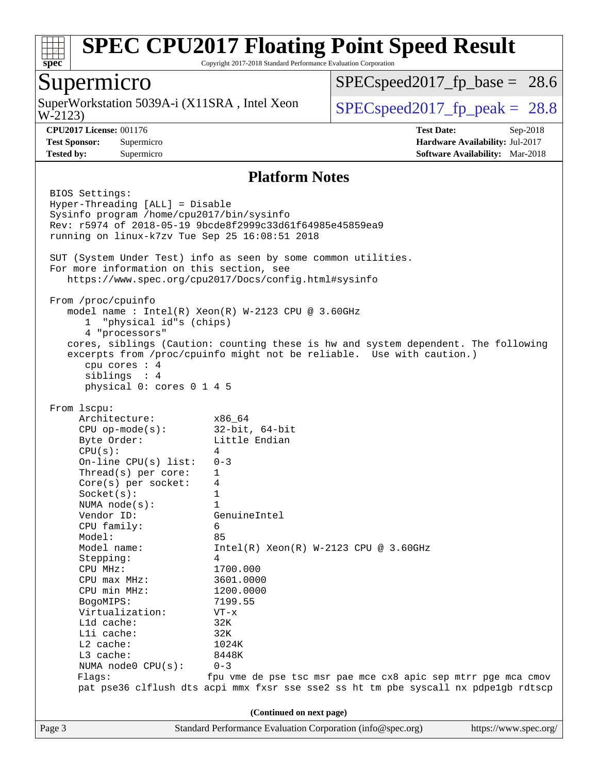

Copyright 2017-2018 Standard Performance Evaluation Corporation

### Supermicro

W-2123) SuperWorkstation 5039A-i (X11SRA, Intel Xeon  $\big|$  [SPECspeed2017\\_fp\\_peak =](http://www.spec.org/auto/cpu2017/Docs/result-fields.html#SPECspeed2017fppeak) 28.8

 $SPECspeed2017<sub>fp</sub> base = 28.6$ 

**[CPU2017 License:](http://www.spec.org/auto/cpu2017/Docs/result-fields.html#CPU2017License)** 001176 **[Test Date:](http://www.spec.org/auto/cpu2017/Docs/result-fields.html#TestDate)** Sep-2018 **[Test Sponsor:](http://www.spec.org/auto/cpu2017/Docs/result-fields.html#TestSponsor)** Supermicro **[Hardware Availability:](http://www.spec.org/auto/cpu2017/Docs/result-fields.html#HardwareAvailability)** Jul-2017 **[Tested by:](http://www.spec.org/auto/cpu2017/Docs/result-fields.html#Testedby)** Supermicro **[Software Availability:](http://www.spec.org/auto/cpu2017/Docs/result-fields.html#SoftwareAvailability)** Mar-2018

### **[Platform Notes](http://www.spec.org/auto/cpu2017/Docs/result-fields.html#PlatformNotes)**

Page 3 Standard Performance Evaluation Corporation [\(info@spec.org\)](mailto:info@spec.org) <https://www.spec.org/> BIOS Settings: Hyper-Threading [ALL] = Disable Sysinfo program /home/cpu2017/bin/sysinfo Rev: r5974 of 2018-05-19 9bcde8f2999c33d61f64985e45859ea9 running on linux-k7zv Tue Sep 25 16:08:51 2018 SUT (System Under Test) info as seen by some common utilities. For more information on this section, see <https://www.spec.org/cpu2017/Docs/config.html#sysinfo> From /proc/cpuinfo model name : Intel(R) Xeon(R) W-2123 CPU @ 3.60GHz 1 "physical id"s (chips) 4 "processors" cores, siblings (Caution: counting these is hw and system dependent. The following excerpts from /proc/cpuinfo might not be reliable. Use with caution.) cpu cores : 4 siblings : 4 physical 0: cores 0 1 4 5 From lscpu: Architecture: x86\_64 CPU op-mode(s): 32-bit, 64-bit Byte Order: Little Endian  $CPU(s):$  4 On-line CPU(s) list: 0-3 Thread(s) per core: 1 Core(s) per socket: 4 Socket(s): 1 NUMA node(s): 1 Vendor ID: GenuineIntel CPU family: 6 Model: 85 Model name: Intel(R) Xeon(R) W-2123 CPU @ 3.60GHz Stepping: 4 CPU MHz: 1700.000 CPU max MHz: 3601.0000 CPU min MHz: 1200.0000 BogoMIPS: 7199.55 Virtualization: VT-x L1d cache: 32K L1i cache: 32K L2 cache: 1024K L3 cache: 8448K NUMA node0 CPU(s): 0-3 Flags: fpu vme de pse tsc msr pae mce cx8 apic sep mtrr pge mca cmov pat pse36 clflush dts acpi mmx fxsr sse sse2 ss ht tm pbe syscall nx pdpe1gb rdtscp **(Continued on next page)**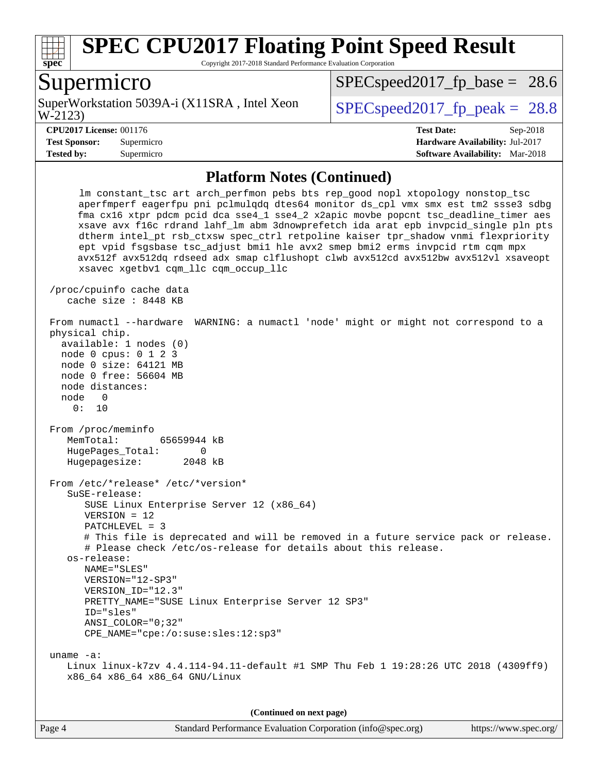

Copyright 2017-2018 Standard Performance Evaluation Corporation

### Supermicro

W-2123) SuperWorkstation 5039A-i (X11SRA, Intel Xeon  $\vert$  SPECspeed2017 fp\_peak = 28.8

 $SPECspeed2017<sub>fp</sub> base = 28.6$ 

**[Tested by:](http://www.spec.org/auto/cpu2017/Docs/result-fields.html#Testedby)** Supermicro **[Software Availability:](http://www.spec.org/auto/cpu2017/Docs/result-fields.html#SoftwareAvailability)** Mar-2018

**[CPU2017 License:](http://www.spec.org/auto/cpu2017/Docs/result-fields.html#CPU2017License)** 001176 **[Test Date:](http://www.spec.org/auto/cpu2017/Docs/result-fields.html#TestDate)** Sep-2018 **[Test Sponsor:](http://www.spec.org/auto/cpu2017/Docs/result-fields.html#TestSponsor)** Supermicro **[Hardware Availability:](http://www.spec.org/auto/cpu2017/Docs/result-fields.html#HardwareAvailability)** Jul-2017

#### **[Platform Notes \(Continued\)](http://www.spec.org/auto/cpu2017/Docs/result-fields.html#PlatformNotes)**

 lm constant\_tsc art arch\_perfmon pebs bts rep\_good nopl xtopology nonstop\_tsc aperfmperf eagerfpu pni pclmulqdq dtes64 monitor ds\_cpl vmx smx est tm2 ssse3 sdbg fma cx16 xtpr pdcm pcid dca sse4\_1 sse4\_2 x2apic movbe popcnt tsc\_deadline\_timer aes xsave avx f16c rdrand lahf\_lm abm 3dnowprefetch ida arat epb invpcid\_single pln pts dtherm intel\_pt rsb\_ctxsw spec\_ctrl retpoline kaiser tpr\_shadow vnmi flexpriority ept vpid fsgsbase tsc\_adjust bmi1 hle avx2 smep bmi2 erms invpcid rtm cqm mpx avx512f avx512dq rdseed adx smap clflushopt clwb avx512cd avx512bw avx512vl xsaveopt xsavec xgetbv1 cqm\_llc cqm\_occup\_llc /proc/cpuinfo cache data cache size : 8448 KB From numactl --hardware WARNING: a numactl 'node' might or might not correspond to a physical chip. available: 1 nodes (0) node 0 cpus: 0 1 2 3 node 0 size: 64121 MB node 0 free: 56604 MB node distances: node 0 0: 10 From /proc/meminfo MemTotal: 65659944 kB HugePages\_Total: 0 Hugepagesize: 2048 kB From /etc/\*release\* /etc/\*version\* SuSE-release: SUSE Linux Enterprise Server 12 (x86\_64) VERSION = 12 PATCHLEVEL = 3 # This file is deprecated and will be removed in a future service pack or release. # Please check /etc/os-release for details about this release. os-release: NAME="SLES" VERSION="12-SP3" VERSION\_ID="12.3" PRETTY\_NAME="SUSE Linux Enterprise Server 12 SP3" ID="sles" ANSI\_COLOR="0;32" CPE\_NAME="cpe:/o:suse:sles:12:sp3" uname -a: Linux linux-k7zv 4.4.114-94.11-default #1 SMP Thu Feb 1 19:28:26 UTC 2018 (4309ff9) x86\_64 x86\_64 x86\_64 GNU/Linux

**(Continued on next page)**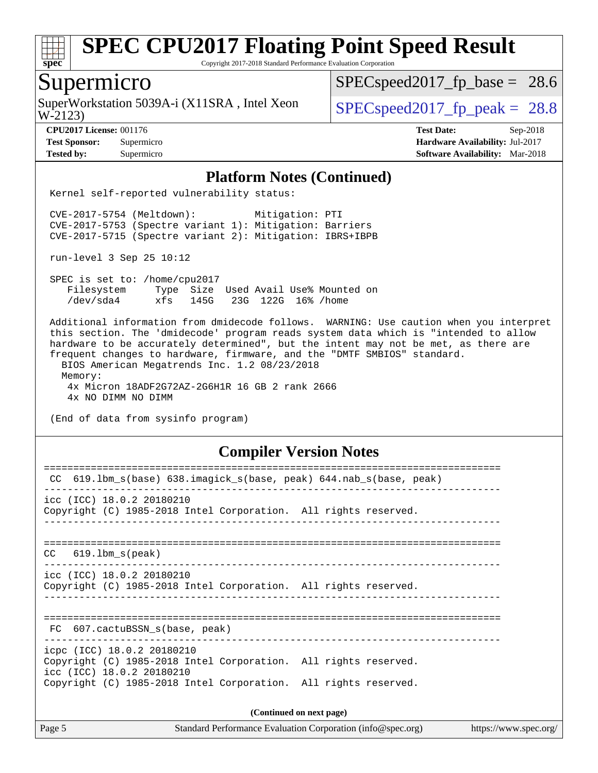

Copyright 2017-2018 Standard Performance Evaluation Corporation

## Supermicro

W-2123) SuperWorkstation 5039A-i (X11SRA, Intel Xeon  $\big|$  [SPECspeed2017\\_fp\\_peak =](http://www.spec.org/auto/cpu2017/Docs/result-fields.html#SPECspeed2017fppeak) 28.8

 $SPECspeed2017<sub>fp</sub> base = 28.6$ 

**[CPU2017 License:](http://www.spec.org/auto/cpu2017/Docs/result-fields.html#CPU2017License)** 001176 **[Test Date:](http://www.spec.org/auto/cpu2017/Docs/result-fields.html#TestDate)** Sep-2018 **[Test Sponsor:](http://www.spec.org/auto/cpu2017/Docs/result-fields.html#TestSponsor)** Supermicro **[Hardware Availability:](http://www.spec.org/auto/cpu2017/Docs/result-fields.html#HardwareAvailability)** Jul-2017 **[Tested by:](http://www.spec.org/auto/cpu2017/Docs/result-fields.html#Testedby)** Supermicro **[Software Availability:](http://www.spec.org/auto/cpu2017/Docs/result-fields.html#SoftwareAvailability)** Mar-2018

#### **[Platform Notes \(Continued\)](http://www.spec.org/auto/cpu2017/Docs/result-fields.html#PlatformNotes)**

Kernel self-reported vulnerability status:

 CVE-2017-5754 (Meltdown): Mitigation: PTI CVE-2017-5753 (Spectre variant 1): Mitigation: Barriers CVE-2017-5715 (Spectre variant 2): Mitigation: IBRS+IBPB

run-level 3 Sep 25 10:12

 SPEC is set to: /home/cpu2017 Filesystem Type Size Used Avail Use% Mounted on /dev/sda4 xfs 145G 23G 122G 16% /home

 Additional information from dmidecode follows. WARNING: Use caution when you interpret this section. The 'dmidecode' program reads system data which is "intended to allow hardware to be accurately determined", but the intent may not be met, as there are frequent changes to hardware, firmware, and the "DMTF SMBIOS" standard. BIOS American Megatrends Inc. 1.2 08/23/2018 Memory: 4x Micron 18ADF2G72AZ-2G6H1R 16 GB 2 rank 2666 4x NO DIMM NO DIMM

(End of data from sysinfo program)

#### **[Compiler Version Notes](http://www.spec.org/auto/cpu2017/Docs/result-fields.html#CompilerVersionNotes)**

| 619.1bm_s(base) 638.imagick_s(base, peak) 644.nab_s(base, peak)<br>CC                        |                          |
|----------------------------------------------------------------------------------------------|--------------------------|
| icc (ICC) 18.0.2 20180210                                                                    |                          |
| Copyright (C) 1985-2018 Intel Corporation. All rights reserved.                              |                          |
|                                                                                              |                          |
| $CC$ 619.1bm $s$ (peak)                                                                      |                          |
|                                                                                              |                          |
| icc (ICC) 18.0.2 20180210<br>Copyright (C) 1985-2018 Intel Corporation. All rights reserved. |                          |
|                                                                                              |                          |
| FC 607.cactuBSSN s(base, peak)                                                               |                          |
| icpc (ICC) 18.0.2 20180210                                                                   |                          |
| Copyright (C) 1985-2018 Intel Corporation. All rights reserved.<br>icc (ICC) 18.0.2 20180210 |                          |
| Copyright (C) 1985-2018 Intel Corporation. All rights reserved.                              |                          |
|                                                                                              | (Continued on next page) |
|                                                                                              |                          |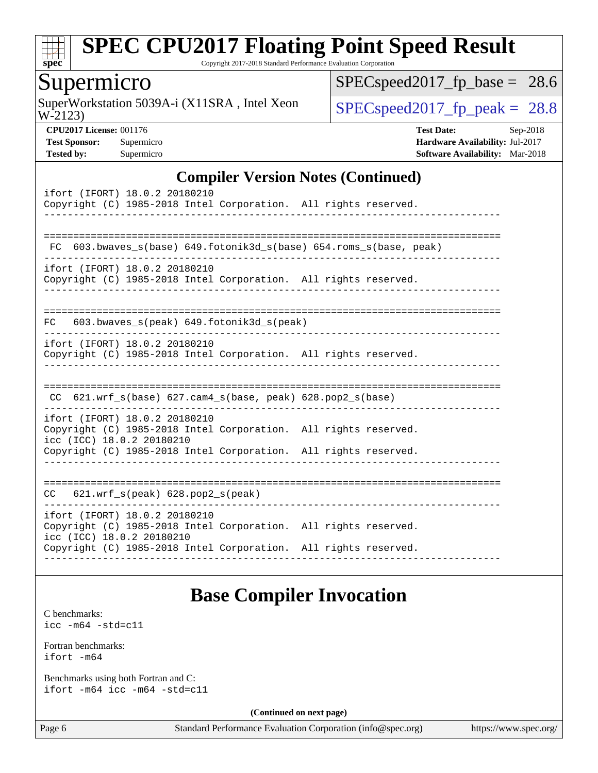

Copyright 2017-2018 Standard Performance Evaluation Corporation

### Supermicro

W-2123) SuperWorkstation 5039A-i (X11SRA, Intel Xeon  $\big|$  [SPECspeed2017\\_fp\\_peak =](http://www.spec.org/auto/cpu2017/Docs/result-fields.html#SPECspeed2017fppeak) 28.8

[SPECspeed2017\\_fp\\_base =](http://www.spec.org/auto/cpu2017/Docs/result-fields.html#SPECspeed2017fpbase) 28.6

**[CPU2017 License:](http://www.spec.org/auto/cpu2017/Docs/result-fields.html#CPU2017License)** 001176 **[Test Date:](http://www.spec.org/auto/cpu2017/Docs/result-fields.html#TestDate)** Sep-2018 **[Test Sponsor:](http://www.spec.org/auto/cpu2017/Docs/result-fields.html#TestSponsor)** Supermicro **[Hardware Availability:](http://www.spec.org/auto/cpu2017/Docs/result-fields.html#HardwareAvailability)** Jul-2017 **[Tested by:](http://www.spec.org/auto/cpu2017/Docs/result-fields.html#Testedby)** Supermicro **[Software Availability:](http://www.spec.org/auto/cpu2017/Docs/result-fields.html#SoftwareAvailability)** Mar-2018

### **[Compiler Version Notes \(Continued\)](http://www.spec.org/auto/cpu2017/Docs/result-fields.html#CompilerVersionNotes)**

| ifort (IFORT) 18.0.2 20180210<br>Copyright (C) 1985-2018 Intel Corporation. All rights reserved.                                                                                                 |  |
|--------------------------------------------------------------------------------------------------------------------------------------------------------------------------------------------------|--|
| FC 603.bwaves_s(base) 649.fotonik3d_s(base) 654.roms_s(base, peak)                                                                                                                               |  |
| ifort (IFORT) 18.0.2 20180210<br>Copyright (C) 1985-2018 Intel Corporation. All rights reserved.                                                                                                 |  |
| $603.bwaves$ s(peak) $649.fotonik3d$ s(peak)<br>FC                                                                                                                                               |  |
| ifort (IFORT) 18.0.2 20180210<br>Copyright (C) 1985-2018 Intel Corporation. All rights reserved.                                                                                                 |  |
| CC 621.wrf_s(base) 627.cam4_s(base, peak) 628.pop2_s(base)                                                                                                                                       |  |
| ifort (IFORT) 18.0.2 20180210<br>Copyright (C) 1985-2018 Intel Corporation. All rights reserved.<br>icc (ICC) 18.0.2 20180210                                                                    |  |
| Copyright (C) 1985-2018 Intel Corporation. All rights reserved.                                                                                                                                  |  |
| $CC$ 621.wrf $s$ (peak) 628.pop2 $s$ (peak)                                                                                                                                                      |  |
| ifort (IFORT) 18.0.2 20180210<br>Copyright (C) 1985-2018 Intel Corporation. All rights reserved.<br>icc (ICC) 18.0.2 20180210<br>Copyright (C) 1985-2018 Intel Corporation. All rights reserved. |  |
| ----------------                                                                                                                                                                                 |  |

## **[Base Compiler Invocation](http://www.spec.org/auto/cpu2017/Docs/result-fields.html#BaseCompilerInvocation)**

[C benchmarks](http://www.spec.org/auto/cpu2017/Docs/result-fields.html#Cbenchmarks): [icc -m64 -std=c11](http://www.spec.org/cpu2017/results/res2018q4/cpu2017-20181002-09051.flags.html#user_CCbase_intel_icc_64bit_c11_33ee0cdaae7deeeab2a9725423ba97205ce30f63b9926c2519791662299b76a0318f32ddfffdc46587804de3178b4f9328c46fa7c2b0cd779d7a61945c91cd35)

[Fortran benchmarks](http://www.spec.org/auto/cpu2017/Docs/result-fields.html#Fortranbenchmarks): [ifort -m64](http://www.spec.org/cpu2017/results/res2018q4/cpu2017-20181002-09051.flags.html#user_FCbase_intel_ifort_64bit_24f2bb282fbaeffd6157abe4f878425411749daecae9a33200eee2bee2fe76f3b89351d69a8130dd5949958ce389cf37ff59a95e7a40d588e8d3a57e0c3fd751)

[Benchmarks using both Fortran and C](http://www.spec.org/auto/cpu2017/Docs/result-fields.html#BenchmarksusingbothFortranandC): [ifort -m64](http://www.spec.org/cpu2017/results/res2018q4/cpu2017-20181002-09051.flags.html#user_CC_FCbase_intel_ifort_64bit_24f2bb282fbaeffd6157abe4f878425411749daecae9a33200eee2bee2fe76f3b89351d69a8130dd5949958ce389cf37ff59a95e7a40d588e8d3a57e0c3fd751) [icc -m64 -std=c11](http://www.spec.org/cpu2017/results/res2018q4/cpu2017-20181002-09051.flags.html#user_CC_FCbase_intel_icc_64bit_c11_33ee0cdaae7deeeab2a9725423ba97205ce30f63b9926c2519791662299b76a0318f32ddfffdc46587804de3178b4f9328c46fa7c2b0cd779d7a61945c91cd35)

**(Continued on next page)**

Page 6 Standard Performance Evaluation Corporation [\(info@spec.org\)](mailto:info@spec.org) <https://www.spec.org/>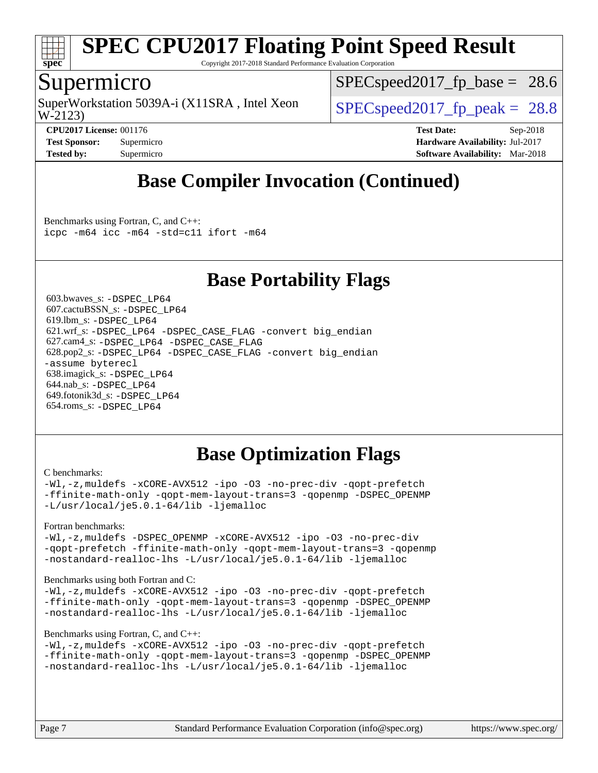

Copyright 2017-2018 Standard Performance Evaluation Corporation

### Supermicro

W-2123) SuperWorkstation 5039A-i (X11SRA, Intel Xeon  $\vert$  SPECspeed2017 fp\_peak = 28.8

 $SPECspeed2017<sub>fp</sub> base = 28.6$ 

**[CPU2017 License:](http://www.spec.org/auto/cpu2017/Docs/result-fields.html#CPU2017License)** 001176 **[Test Date:](http://www.spec.org/auto/cpu2017/Docs/result-fields.html#TestDate)** Sep-2018 **[Test Sponsor:](http://www.spec.org/auto/cpu2017/Docs/result-fields.html#TestSponsor)** Supermicro **[Hardware Availability:](http://www.spec.org/auto/cpu2017/Docs/result-fields.html#HardwareAvailability)** Jul-2017 **[Tested by:](http://www.spec.org/auto/cpu2017/Docs/result-fields.html#Testedby)** Supermicro **[Software Availability:](http://www.spec.org/auto/cpu2017/Docs/result-fields.html#SoftwareAvailability)** Mar-2018

## **[Base Compiler Invocation \(Continued\)](http://www.spec.org/auto/cpu2017/Docs/result-fields.html#BaseCompilerInvocation)**

[Benchmarks using Fortran, C, and C++:](http://www.spec.org/auto/cpu2017/Docs/result-fields.html#BenchmarksusingFortranCandCXX) [icpc -m64](http://www.spec.org/cpu2017/results/res2018q4/cpu2017-20181002-09051.flags.html#user_CC_CXX_FCbase_intel_icpc_64bit_4ecb2543ae3f1412ef961e0650ca070fec7b7afdcd6ed48761b84423119d1bf6bdf5cad15b44d48e7256388bc77273b966e5eb805aefd121eb22e9299b2ec9d9) [icc -m64 -std=c11](http://www.spec.org/cpu2017/results/res2018q4/cpu2017-20181002-09051.flags.html#user_CC_CXX_FCbase_intel_icc_64bit_c11_33ee0cdaae7deeeab2a9725423ba97205ce30f63b9926c2519791662299b76a0318f32ddfffdc46587804de3178b4f9328c46fa7c2b0cd779d7a61945c91cd35) [ifort -m64](http://www.spec.org/cpu2017/results/res2018q4/cpu2017-20181002-09051.flags.html#user_CC_CXX_FCbase_intel_ifort_64bit_24f2bb282fbaeffd6157abe4f878425411749daecae9a33200eee2bee2fe76f3b89351d69a8130dd5949958ce389cf37ff59a95e7a40d588e8d3a57e0c3fd751)

## **[Base Portability Flags](http://www.spec.org/auto/cpu2017/Docs/result-fields.html#BasePortabilityFlags)**

 603.bwaves\_s: [-DSPEC\\_LP64](http://www.spec.org/cpu2017/results/res2018q4/cpu2017-20181002-09051.flags.html#suite_basePORTABILITY603_bwaves_s_DSPEC_LP64) 607.cactuBSSN\_s: [-DSPEC\\_LP64](http://www.spec.org/cpu2017/results/res2018q4/cpu2017-20181002-09051.flags.html#suite_basePORTABILITY607_cactuBSSN_s_DSPEC_LP64) 619.lbm\_s: [-DSPEC\\_LP64](http://www.spec.org/cpu2017/results/res2018q4/cpu2017-20181002-09051.flags.html#suite_basePORTABILITY619_lbm_s_DSPEC_LP64) 621.wrf\_s: [-DSPEC\\_LP64](http://www.spec.org/cpu2017/results/res2018q4/cpu2017-20181002-09051.flags.html#suite_basePORTABILITY621_wrf_s_DSPEC_LP64) [-DSPEC\\_CASE\\_FLAG](http://www.spec.org/cpu2017/results/res2018q4/cpu2017-20181002-09051.flags.html#b621.wrf_s_baseCPORTABILITY_DSPEC_CASE_FLAG) [-convert big\\_endian](http://www.spec.org/cpu2017/results/res2018q4/cpu2017-20181002-09051.flags.html#user_baseFPORTABILITY621_wrf_s_convert_big_endian_c3194028bc08c63ac5d04de18c48ce6d347e4e562e8892b8bdbdc0214820426deb8554edfa529a3fb25a586e65a3d812c835984020483e7e73212c4d31a38223) 627.cam4\_s: [-DSPEC\\_LP64](http://www.spec.org/cpu2017/results/res2018q4/cpu2017-20181002-09051.flags.html#suite_basePORTABILITY627_cam4_s_DSPEC_LP64) [-DSPEC\\_CASE\\_FLAG](http://www.spec.org/cpu2017/results/res2018q4/cpu2017-20181002-09051.flags.html#b627.cam4_s_baseCPORTABILITY_DSPEC_CASE_FLAG) 628.pop2\_s: [-DSPEC\\_LP64](http://www.spec.org/cpu2017/results/res2018q4/cpu2017-20181002-09051.flags.html#suite_basePORTABILITY628_pop2_s_DSPEC_LP64) [-DSPEC\\_CASE\\_FLAG](http://www.spec.org/cpu2017/results/res2018q4/cpu2017-20181002-09051.flags.html#b628.pop2_s_baseCPORTABILITY_DSPEC_CASE_FLAG) [-convert big\\_endian](http://www.spec.org/cpu2017/results/res2018q4/cpu2017-20181002-09051.flags.html#user_baseFPORTABILITY628_pop2_s_convert_big_endian_c3194028bc08c63ac5d04de18c48ce6d347e4e562e8892b8bdbdc0214820426deb8554edfa529a3fb25a586e65a3d812c835984020483e7e73212c4d31a38223) [-assume byterecl](http://www.spec.org/cpu2017/results/res2018q4/cpu2017-20181002-09051.flags.html#user_baseFPORTABILITY628_pop2_s_assume_byterecl_7e47d18b9513cf18525430bbf0f2177aa9bf368bc7a059c09b2c06a34b53bd3447c950d3f8d6c70e3faf3a05c8557d66a5798b567902e8849adc142926523472) 638.imagick\_s: [-DSPEC\\_LP64](http://www.spec.org/cpu2017/results/res2018q4/cpu2017-20181002-09051.flags.html#suite_basePORTABILITY638_imagick_s_DSPEC_LP64) 644.nab\_s: [-DSPEC\\_LP64](http://www.spec.org/cpu2017/results/res2018q4/cpu2017-20181002-09051.flags.html#suite_basePORTABILITY644_nab_s_DSPEC_LP64) 649.fotonik3d\_s: [-DSPEC\\_LP64](http://www.spec.org/cpu2017/results/res2018q4/cpu2017-20181002-09051.flags.html#suite_basePORTABILITY649_fotonik3d_s_DSPEC_LP64) 654.roms\_s: [-DSPEC\\_LP64](http://www.spec.org/cpu2017/results/res2018q4/cpu2017-20181002-09051.flags.html#suite_basePORTABILITY654_roms_s_DSPEC_LP64)

## **[Base Optimization Flags](http://www.spec.org/auto/cpu2017/Docs/result-fields.html#BaseOptimizationFlags)**

#### [C benchmarks](http://www.spec.org/auto/cpu2017/Docs/result-fields.html#Cbenchmarks):

[-Wl,-z,muldefs](http://www.spec.org/cpu2017/results/res2018q4/cpu2017-20181002-09051.flags.html#user_CCbase_link_force_multiple1_b4cbdb97b34bdee9ceefcfe54f4c8ea74255f0b02a4b23e853cdb0e18eb4525ac79b5a88067c842dd0ee6996c24547a27a4b99331201badda8798ef8a743f577) [-xCORE-AVX512](http://www.spec.org/cpu2017/results/res2018q4/cpu2017-20181002-09051.flags.html#user_CCbase_f-xCORE-AVX512) [-ipo](http://www.spec.org/cpu2017/results/res2018q4/cpu2017-20181002-09051.flags.html#user_CCbase_f-ipo) [-O3](http://www.spec.org/cpu2017/results/res2018q4/cpu2017-20181002-09051.flags.html#user_CCbase_f-O3) [-no-prec-div](http://www.spec.org/cpu2017/results/res2018q4/cpu2017-20181002-09051.flags.html#user_CCbase_f-no-prec-div) [-qopt-prefetch](http://www.spec.org/cpu2017/results/res2018q4/cpu2017-20181002-09051.flags.html#user_CCbase_f-qopt-prefetch) [-ffinite-math-only](http://www.spec.org/cpu2017/results/res2018q4/cpu2017-20181002-09051.flags.html#user_CCbase_f_finite_math_only_cb91587bd2077682c4b38af759c288ed7c732db004271a9512da14a4f8007909a5f1427ecbf1a0fb78ff2a814402c6114ac565ca162485bbcae155b5e4258871) [-qopt-mem-layout-trans=3](http://www.spec.org/cpu2017/results/res2018q4/cpu2017-20181002-09051.flags.html#user_CCbase_f-qopt-mem-layout-trans_de80db37974c74b1f0e20d883f0b675c88c3b01e9d123adea9b28688d64333345fb62bc4a798493513fdb68f60282f9a726aa07f478b2f7113531aecce732043) [-qopenmp](http://www.spec.org/cpu2017/results/res2018q4/cpu2017-20181002-09051.flags.html#user_CCbase_qopenmp_16be0c44f24f464004c6784a7acb94aca937f053568ce72f94b139a11c7c168634a55f6653758ddd83bcf7b8463e8028bb0b48b77bcddc6b78d5d95bb1df2967) [-DSPEC\\_OPENMP](http://www.spec.org/cpu2017/results/res2018q4/cpu2017-20181002-09051.flags.html#suite_CCbase_DSPEC_OPENMP) [-L/usr/local/je5.0.1-64/lib](http://www.spec.org/cpu2017/results/res2018q4/cpu2017-20181002-09051.flags.html#user_CCbase_jemalloc_link_path64_4b10a636b7bce113509b17f3bd0d6226c5fb2346b9178c2d0232c14f04ab830f976640479e5c33dc2bcbbdad86ecfb6634cbbd4418746f06f368b512fced5394) [-ljemalloc](http://www.spec.org/cpu2017/results/res2018q4/cpu2017-20181002-09051.flags.html#user_CCbase_jemalloc_link_lib_d1249b907c500fa1c0672f44f562e3d0f79738ae9e3c4a9c376d49f265a04b9c99b167ecedbf6711b3085be911c67ff61f150a17b3472be731631ba4d0471706)

#### [Fortran benchmarks](http://www.spec.org/auto/cpu2017/Docs/result-fields.html#Fortranbenchmarks):

[-Wl,-z,muldefs](http://www.spec.org/cpu2017/results/res2018q4/cpu2017-20181002-09051.flags.html#user_FCbase_link_force_multiple1_b4cbdb97b34bdee9ceefcfe54f4c8ea74255f0b02a4b23e853cdb0e18eb4525ac79b5a88067c842dd0ee6996c24547a27a4b99331201badda8798ef8a743f577) -DSPEC OPENMP [-xCORE-AVX512](http://www.spec.org/cpu2017/results/res2018q4/cpu2017-20181002-09051.flags.html#user_FCbase_f-xCORE-AVX512) [-ipo](http://www.spec.org/cpu2017/results/res2018q4/cpu2017-20181002-09051.flags.html#user_FCbase_f-ipo) [-O3](http://www.spec.org/cpu2017/results/res2018q4/cpu2017-20181002-09051.flags.html#user_FCbase_f-O3) [-no-prec-div](http://www.spec.org/cpu2017/results/res2018q4/cpu2017-20181002-09051.flags.html#user_FCbase_f-no-prec-div) [-qopt-prefetch](http://www.spec.org/cpu2017/results/res2018q4/cpu2017-20181002-09051.flags.html#user_FCbase_f-qopt-prefetch) [-ffinite-math-only](http://www.spec.org/cpu2017/results/res2018q4/cpu2017-20181002-09051.flags.html#user_FCbase_f_finite_math_only_cb91587bd2077682c4b38af759c288ed7c732db004271a9512da14a4f8007909a5f1427ecbf1a0fb78ff2a814402c6114ac565ca162485bbcae155b5e4258871) [-qopt-mem-layout-trans=3](http://www.spec.org/cpu2017/results/res2018q4/cpu2017-20181002-09051.flags.html#user_FCbase_f-qopt-mem-layout-trans_de80db37974c74b1f0e20d883f0b675c88c3b01e9d123adea9b28688d64333345fb62bc4a798493513fdb68f60282f9a726aa07f478b2f7113531aecce732043) [-qopenmp](http://www.spec.org/cpu2017/results/res2018q4/cpu2017-20181002-09051.flags.html#user_FCbase_qopenmp_16be0c44f24f464004c6784a7acb94aca937f053568ce72f94b139a11c7c168634a55f6653758ddd83bcf7b8463e8028bb0b48b77bcddc6b78d5d95bb1df2967) [-nostandard-realloc-lhs](http://www.spec.org/cpu2017/results/res2018q4/cpu2017-20181002-09051.flags.html#user_FCbase_f_2003_std_realloc_82b4557e90729c0f113870c07e44d33d6f5a304b4f63d4c15d2d0f1fab99f5daaed73bdb9275d9ae411527f28b936061aa8b9c8f2d63842963b95c9dd6426b8a) [-L/usr/local/je5.0.1-64/lib](http://www.spec.org/cpu2017/results/res2018q4/cpu2017-20181002-09051.flags.html#user_FCbase_jemalloc_link_path64_4b10a636b7bce113509b17f3bd0d6226c5fb2346b9178c2d0232c14f04ab830f976640479e5c33dc2bcbbdad86ecfb6634cbbd4418746f06f368b512fced5394) [-ljemalloc](http://www.spec.org/cpu2017/results/res2018q4/cpu2017-20181002-09051.flags.html#user_FCbase_jemalloc_link_lib_d1249b907c500fa1c0672f44f562e3d0f79738ae9e3c4a9c376d49f265a04b9c99b167ecedbf6711b3085be911c67ff61f150a17b3472be731631ba4d0471706)

#### [Benchmarks using both Fortran and C](http://www.spec.org/auto/cpu2017/Docs/result-fields.html#BenchmarksusingbothFortranandC):

[-Wl,-z,muldefs](http://www.spec.org/cpu2017/results/res2018q4/cpu2017-20181002-09051.flags.html#user_CC_FCbase_link_force_multiple1_b4cbdb97b34bdee9ceefcfe54f4c8ea74255f0b02a4b23e853cdb0e18eb4525ac79b5a88067c842dd0ee6996c24547a27a4b99331201badda8798ef8a743f577) [-xCORE-AVX512](http://www.spec.org/cpu2017/results/res2018q4/cpu2017-20181002-09051.flags.html#user_CC_FCbase_f-xCORE-AVX512) [-ipo](http://www.spec.org/cpu2017/results/res2018q4/cpu2017-20181002-09051.flags.html#user_CC_FCbase_f-ipo) [-O3](http://www.spec.org/cpu2017/results/res2018q4/cpu2017-20181002-09051.flags.html#user_CC_FCbase_f-O3) [-no-prec-div](http://www.spec.org/cpu2017/results/res2018q4/cpu2017-20181002-09051.flags.html#user_CC_FCbase_f-no-prec-div) [-qopt-prefetch](http://www.spec.org/cpu2017/results/res2018q4/cpu2017-20181002-09051.flags.html#user_CC_FCbase_f-qopt-prefetch) [-ffinite-math-only](http://www.spec.org/cpu2017/results/res2018q4/cpu2017-20181002-09051.flags.html#user_CC_FCbase_f_finite_math_only_cb91587bd2077682c4b38af759c288ed7c732db004271a9512da14a4f8007909a5f1427ecbf1a0fb78ff2a814402c6114ac565ca162485bbcae155b5e4258871) [-qopt-mem-layout-trans=3](http://www.spec.org/cpu2017/results/res2018q4/cpu2017-20181002-09051.flags.html#user_CC_FCbase_f-qopt-mem-layout-trans_de80db37974c74b1f0e20d883f0b675c88c3b01e9d123adea9b28688d64333345fb62bc4a798493513fdb68f60282f9a726aa07f478b2f7113531aecce732043) [-qopenmp](http://www.spec.org/cpu2017/results/res2018q4/cpu2017-20181002-09051.flags.html#user_CC_FCbase_qopenmp_16be0c44f24f464004c6784a7acb94aca937f053568ce72f94b139a11c7c168634a55f6653758ddd83bcf7b8463e8028bb0b48b77bcddc6b78d5d95bb1df2967) [-DSPEC\\_OPENMP](http://www.spec.org/cpu2017/results/res2018q4/cpu2017-20181002-09051.flags.html#suite_CC_FCbase_DSPEC_OPENMP) [-nostandard-realloc-lhs](http://www.spec.org/cpu2017/results/res2018q4/cpu2017-20181002-09051.flags.html#user_CC_FCbase_f_2003_std_realloc_82b4557e90729c0f113870c07e44d33d6f5a304b4f63d4c15d2d0f1fab99f5daaed73bdb9275d9ae411527f28b936061aa8b9c8f2d63842963b95c9dd6426b8a) [-L/usr/local/je5.0.1-64/lib](http://www.spec.org/cpu2017/results/res2018q4/cpu2017-20181002-09051.flags.html#user_CC_FCbase_jemalloc_link_path64_4b10a636b7bce113509b17f3bd0d6226c5fb2346b9178c2d0232c14f04ab830f976640479e5c33dc2bcbbdad86ecfb6634cbbd4418746f06f368b512fced5394) [-ljemalloc](http://www.spec.org/cpu2017/results/res2018q4/cpu2017-20181002-09051.flags.html#user_CC_FCbase_jemalloc_link_lib_d1249b907c500fa1c0672f44f562e3d0f79738ae9e3c4a9c376d49f265a04b9c99b167ecedbf6711b3085be911c67ff61f150a17b3472be731631ba4d0471706)

#### [Benchmarks using Fortran, C, and C++:](http://www.spec.org/auto/cpu2017/Docs/result-fields.html#BenchmarksusingFortranCandCXX)

[-Wl,-z,muldefs](http://www.spec.org/cpu2017/results/res2018q4/cpu2017-20181002-09051.flags.html#user_CC_CXX_FCbase_link_force_multiple1_b4cbdb97b34bdee9ceefcfe54f4c8ea74255f0b02a4b23e853cdb0e18eb4525ac79b5a88067c842dd0ee6996c24547a27a4b99331201badda8798ef8a743f577) [-xCORE-AVX512](http://www.spec.org/cpu2017/results/res2018q4/cpu2017-20181002-09051.flags.html#user_CC_CXX_FCbase_f-xCORE-AVX512) [-ipo](http://www.spec.org/cpu2017/results/res2018q4/cpu2017-20181002-09051.flags.html#user_CC_CXX_FCbase_f-ipo) [-O3](http://www.spec.org/cpu2017/results/res2018q4/cpu2017-20181002-09051.flags.html#user_CC_CXX_FCbase_f-O3) [-no-prec-div](http://www.spec.org/cpu2017/results/res2018q4/cpu2017-20181002-09051.flags.html#user_CC_CXX_FCbase_f-no-prec-div) [-qopt-prefetch](http://www.spec.org/cpu2017/results/res2018q4/cpu2017-20181002-09051.flags.html#user_CC_CXX_FCbase_f-qopt-prefetch) [-ffinite-math-only](http://www.spec.org/cpu2017/results/res2018q4/cpu2017-20181002-09051.flags.html#user_CC_CXX_FCbase_f_finite_math_only_cb91587bd2077682c4b38af759c288ed7c732db004271a9512da14a4f8007909a5f1427ecbf1a0fb78ff2a814402c6114ac565ca162485bbcae155b5e4258871) [-qopt-mem-layout-trans=3](http://www.spec.org/cpu2017/results/res2018q4/cpu2017-20181002-09051.flags.html#user_CC_CXX_FCbase_f-qopt-mem-layout-trans_de80db37974c74b1f0e20d883f0b675c88c3b01e9d123adea9b28688d64333345fb62bc4a798493513fdb68f60282f9a726aa07f478b2f7113531aecce732043) [-qopenmp](http://www.spec.org/cpu2017/results/res2018q4/cpu2017-20181002-09051.flags.html#user_CC_CXX_FCbase_qopenmp_16be0c44f24f464004c6784a7acb94aca937f053568ce72f94b139a11c7c168634a55f6653758ddd83bcf7b8463e8028bb0b48b77bcddc6b78d5d95bb1df2967) [-DSPEC\\_OPENMP](http://www.spec.org/cpu2017/results/res2018q4/cpu2017-20181002-09051.flags.html#suite_CC_CXX_FCbase_DSPEC_OPENMP) [-nostandard-realloc-lhs](http://www.spec.org/cpu2017/results/res2018q4/cpu2017-20181002-09051.flags.html#user_CC_CXX_FCbase_f_2003_std_realloc_82b4557e90729c0f113870c07e44d33d6f5a304b4f63d4c15d2d0f1fab99f5daaed73bdb9275d9ae411527f28b936061aa8b9c8f2d63842963b95c9dd6426b8a) [-L/usr/local/je5.0.1-64/lib](http://www.spec.org/cpu2017/results/res2018q4/cpu2017-20181002-09051.flags.html#user_CC_CXX_FCbase_jemalloc_link_path64_4b10a636b7bce113509b17f3bd0d6226c5fb2346b9178c2d0232c14f04ab830f976640479e5c33dc2bcbbdad86ecfb6634cbbd4418746f06f368b512fced5394) [-ljemalloc](http://www.spec.org/cpu2017/results/res2018q4/cpu2017-20181002-09051.flags.html#user_CC_CXX_FCbase_jemalloc_link_lib_d1249b907c500fa1c0672f44f562e3d0f79738ae9e3c4a9c376d49f265a04b9c99b167ecedbf6711b3085be911c67ff61f150a17b3472be731631ba4d0471706)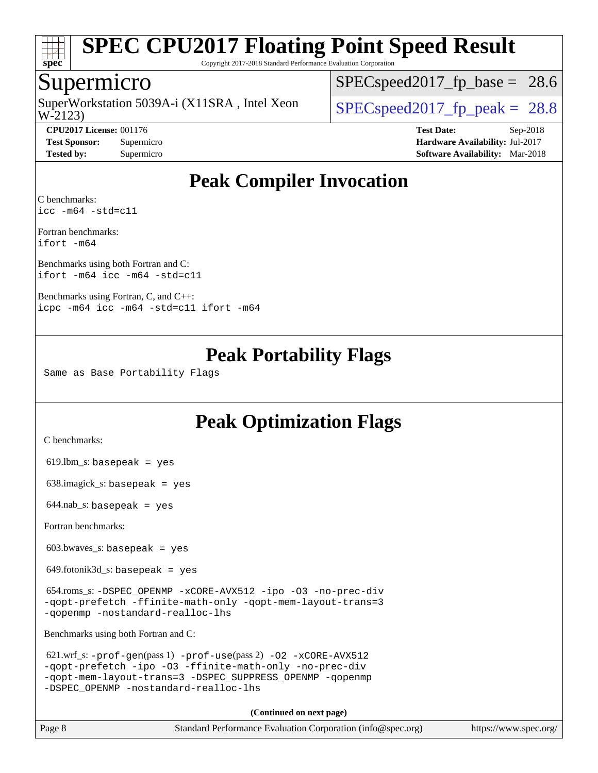

Copyright 2017-2018 Standard Performance Evaluation Corporation

### Supermicro

SuperWorkstation 5039A-i (X11SRA, Intel Xeon<br>W-2123)

 $SPECspeed2017_fp\_base = 28.6$ 

 $SPECspeed2017_fp\_peak = 28.8$ 

**[CPU2017 License:](http://www.spec.org/auto/cpu2017/Docs/result-fields.html#CPU2017License)** 001176 **[Test Date:](http://www.spec.org/auto/cpu2017/Docs/result-fields.html#TestDate)** Sep-2018 **[Test Sponsor:](http://www.spec.org/auto/cpu2017/Docs/result-fields.html#TestSponsor)** Supermicro **[Hardware Availability:](http://www.spec.org/auto/cpu2017/Docs/result-fields.html#HardwareAvailability)** Jul-2017 **[Tested by:](http://www.spec.org/auto/cpu2017/Docs/result-fields.html#Testedby)** Supermicro **[Software Availability:](http://www.spec.org/auto/cpu2017/Docs/result-fields.html#SoftwareAvailability)** Mar-2018

## **[Peak Compiler Invocation](http://www.spec.org/auto/cpu2017/Docs/result-fields.html#PeakCompilerInvocation)**

[C benchmarks](http://www.spec.org/auto/cpu2017/Docs/result-fields.html#Cbenchmarks): [icc -m64 -std=c11](http://www.spec.org/cpu2017/results/res2018q4/cpu2017-20181002-09051.flags.html#user_CCpeak_intel_icc_64bit_c11_33ee0cdaae7deeeab2a9725423ba97205ce30f63b9926c2519791662299b76a0318f32ddfffdc46587804de3178b4f9328c46fa7c2b0cd779d7a61945c91cd35)

[Fortran benchmarks:](http://www.spec.org/auto/cpu2017/Docs/result-fields.html#Fortranbenchmarks) [ifort -m64](http://www.spec.org/cpu2017/results/res2018q4/cpu2017-20181002-09051.flags.html#user_FCpeak_intel_ifort_64bit_24f2bb282fbaeffd6157abe4f878425411749daecae9a33200eee2bee2fe76f3b89351d69a8130dd5949958ce389cf37ff59a95e7a40d588e8d3a57e0c3fd751)

[Benchmarks using both Fortran and C](http://www.spec.org/auto/cpu2017/Docs/result-fields.html#BenchmarksusingbothFortranandC): [ifort -m64](http://www.spec.org/cpu2017/results/res2018q4/cpu2017-20181002-09051.flags.html#user_CC_FCpeak_intel_ifort_64bit_24f2bb282fbaeffd6157abe4f878425411749daecae9a33200eee2bee2fe76f3b89351d69a8130dd5949958ce389cf37ff59a95e7a40d588e8d3a57e0c3fd751) [icc -m64 -std=c11](http://www.spec.org/cpu2017/results/res2018q4/cpu2017-20181002-09051.flags.html#user_CC_FCpeak_intel_icc_64bit_c11_33ee0cdaae7deeeab2a9725423ba97205ce30f63b9926c2519791662299b76a0318f32ddfffdc46587804de3178b4f9328c46fa7c2b0cd779d7a61945c91cd35)

[Benchmarks using Fortran, C, and C++](http://www.spec.org/auto/cpu2017/Docs/result-fields.html#BenchmarksusingFortranCandCXX): [icpc -m64](http://www.spec.org/cpu2017/results/res2018q4/cpu2017-20181002-09051.flags.html#user_CC_CXX_FCpeak_intel_icpc_64bit_4ecb2543ae3f1412ef961e0650ca070fec7b7afdcd6ed48761b84423119d1bf6bdf5cad15b44d48e7256388bc77273b966e5eb805aefd121eb22e9299b2ec9d9) [icc -m64 -std=c11](http://www.spec.org/cpu2017/results/res2018q4/cpu2017-20181002-09051.flags.html#user_CC_CXX_FCpeak_intel_icc_64bit_c11_33ee0cdaae7deeeab2a9725423ba97205ce30f63b9926c2519791662299b76a0318f32ddfffdc46587804de3178b4f9328c46fa7c2b0cd779d7a61945c91cd35) [ifort -m64](http://www.spec.org/cpu2017/results/res2018q4/cpu2017-20181002-09051.flags.html#user_CC_CXX_FCpeak_intel_ifort_64bit_24f2bb282fbaeffd6157abe4f878425411749daecae9a33200eee2bee2fe76f3b89351d69a8130dd5949958ce389cf37ff59a95e7a40d588e8d3a57e0c3fd751)

### **[Peak Portability Flags](http://www.spec.org/auto/cpu2017/Docs/result-fields.html#PeakPortabilityFlags)**

Same as Base Portability Flags

## **[Peak Optimization Flags](http://www.spec.org/auto/cpu2017/Docs/result-fields.html#PeakOptimizationFlags)**

[C benchmarks](http://www.spec.org/auto/cpu2017/Docs/result-fields.html#Cbenchmarks):

619.lbm\_s: basepeak = yes

638.imagick\_s: basepeak = yes

 $644.nab$ <sub>S</sub>: basepeak = yes

[Fortran benchmarks](http://www.spec.org/auto/cpu2017/Docs/result-fields.html#Fortranbenchmarks):

603.bwaves\_s: basepeak = yes

 $649.$ fotonik $3d$ <sub>-</sub>s: basepeak = yes

 654.roms\_s: [-DSPEC\\_OPENMP](http://www.spec.org/cpu2017/results/res2018q4/cpu2017-20181002-09051.flags.html#suite_peakFOPTIMIZE654_roms_s_DSPEC_OPENMP) [-xCORE-AVX512](http://www.spec.org/cpu2017/results/res2018q4/cpu2017-20181002-09051.flags.html#user_peakFOPTIMIZE654_roms_s_f-xCORE-AVX512) [-ipo](http://www.spec.org/cpu2017/results/res2018q4/cpu2017-20181002-09051.flags.html#user_peakFOPTIMIZE654_roms_s_f-ipo) [-O3](http://www.spec.org/cpu2017/results/res2018q4/cpu2017-20181002-09051.flags.html#user_peakFOPTIMIZE654_roms_s_f-O3) [-no-prec-div](http://www.spec.org/cpu2017/results/res2018q4/cpu2017-20181002-09051.flags.html#user_peakFOPTIMIZE654_roms_s_f-no-prec-div) [-qopt-prefetch](http://www.spec.org/cpu2017/results/res2018q4/cpu2017-20181002-09051.flags.html#user_peakFOPTIMIZE654_roms_s_f-qopt-prefetch) [-ffinite-math-only](http://www.spec.org/cpu2017/results/res2018q4/cpu2017-20181002-09051.flags.html#user_peakFOPTIMIZE654_roms_s_f_finite_math_only_cb91587bd2077682c4b38af759c288ed7c732db004271a9512da14a4f8007909a5f1427ecbf1a0fb78ff2a814402c6114ac565ca162485bbcae155b5e4258871) [-qopt-mem-layout-trans=3](http://www.spec.org/cpu2017/results/res2018q4/cpu2017-20181002-09051.flags.html#user_peakFOPTIMIZE654_roms_s_f-qopt-mem-layout-trans_de80db37974c74b1f0e20d883f0b675c88c3b01e9d123adea9b28688d64333345fb62bc4a798493513fdb68f60282f9a726aa07f478b2f7113531aecce732043) [-qopenmp](http://www.spec.org/cpu2017/results/res2018q4/cpu2017-20181002-09051.flags.html#user_peakFOPTIMIZE654_roms_s_qopenmp_16be0c44f24f464004c6784a7acb94aca937f053568ce72f94b139a11c7c168634a55f6653758ddd83bcf7b8463e8028bb0b48b77bcddc6b78d5d95bb1df2967) [-nostandard-realloc-lhs](http://www.spec.org/cpu2017/results/res2018q4/cpu2017-20181002-09051.flags.html#user_peakEXTRA_FOPTIMIZE654_roms_s_f_2003_std_realloc_82b4557e90729c0f113870c07e44d33d6f5a304b4f63d4c15d2d0f1fab99f5daaed73bdb9275d9ae411527f28b936061aa8b9c8f2d63842963b95c9dd6426b8a)

[Benchmarks using both Fortran and C](http://www.spec.org/auto/cpu2017/Docs/result-fields.html#BenchmarksusingbothFortranandC):

| 621.wrf s: $-$ prof-qen(pass 1) $-$ prof-use(pass 2) $-$ O2 $-$ xCORE-AVX512 |
|------------------------------------------------------------------------------|
| -gopt-prefetch -ipo -03 -ffinite-math-only -no-prec-div                      |
| -gopt-mem-layout-trans=3 -DSPEC SUPPRESS OPENMP -gopenmp                     |
| -DSPEC OPENMP -nostandard-realloc-lhs                                        |

**(Continued on next page)**